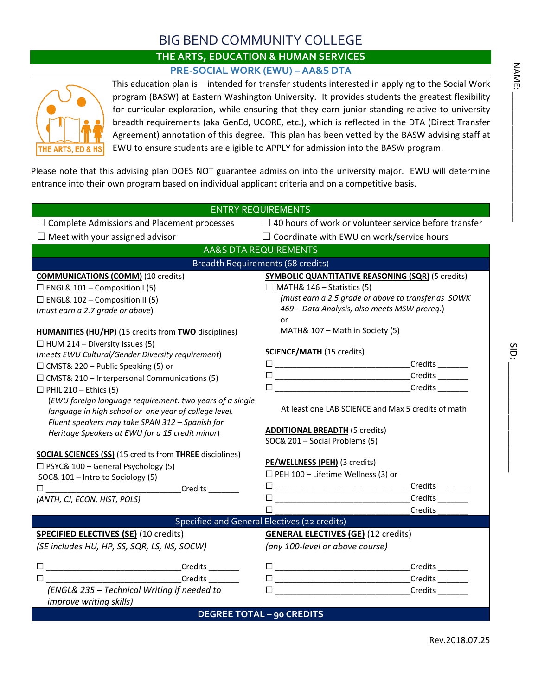## BIG BEND COMMUNITY COLLEGE

## **THE ARTS, EDUCATION & HUMAN SERVICES PRE-SOCIAL WORK (EWU) – AA&S DTA**



This education plan is – intended for transfer students interested in applying to the Social Work program (BASW) at Eastern Washington University. It provides students the greatest flexibility for curricular exploration, while ensuring that they earn junior standing relative to university breadth requirements (aka GenEd, UCORE, etc.), which is reflected in the DTA (Direct Transfer Agreement) annotation of this degree. This plan has been vetted by the BASW advising staff at EWU to ensure students are eligible to APPLY for admission into the BASW program.

Please note that this advising plan DOES NOT guarantee admission into the university major. EWU will determine entrance into their own program based on individual applicant criteria and on a competitive basis.

| <b>ENTRY REQUIREMENTS</b>                                                                |                                                                           |  |  |  |  |  |  |
|------------------------------------------------------------------------------------------|---------------------------------------------------------------------------|--|--|--|--|--|--|
| $\Box$ Complete Admissions and Placement processes                                       | $\Box$ 40 hours of work or volunteer service before transfer              |  |  |  |  |  |  |
| $\Box$ Meet with your assigned advisor                                                   | $\Box$ Coordinate with EWU on work/service hours                          |  |  |  |  |  |  |
| <b>AA&amp;S DTA REQUIREMENTS</b>                                                         |                                                                           |  |  |  |  |  |  |
| Breadth Requirements (68 credits)                                                        |                                                                           |  |  |  |  |  |  |
| <b>COMMUNICATIONS (COMM)</b> (10 credits)                                                | <b>SYMBOLIC QUANTITATIVE REASONING (SQR) (5 credits)</b>                  |  |  |  |  |  |  |
| $\Box$ ENGL& 101 – Composition I (5)                                                     | $\Box$ MATH& 146 – Statistics (5)                                         |  |  |  |  |  |  |
| $\Box$ ENGL& 102 – Composition II (5)                                                    | (must earn a 2.5 grade or above to transfer as SOWK                       |  |  |  |  |  |  |
| (must earn a 2.7 grade or above)                                                         | 469 - Data Analysis, also meets MSW prereq.)                              |  |  |  |  |  |  |
|                                                                                          | or                                                                        |  |  |  |  |  |  |
| <b>HUMANITIES (HU/HP)</b> (15 credits from TWO disciplines)                              | MATH& 107 - Math in Society (5)                                           |  |  |  |  |  |  |
| $\Box$ HUM 214 – Diversity Issues (5)                                                    | <b>SCIENCE/MATH (15 credits)</b>                                          |  |  |  |  |  |  |
| (meets EWU Cultural/Gender Diversity requirement)                                        |                                                                           |  |  |  |  |  |  |
| $\Box$ CMST& 220 – Public Speaking (5) or                                                |                                                                           |  |  |  |  |  |  |
| $\Box$ CMST& 210 – Interpersonal Communications (5)                                      |                                                                           |  |  |  |  |  |  |
| $\Box$ PHIL 210 - Ethics (5)<br>(EWU foreign language requirement: two years of a single |                                                                           |  |  |  |  |  |  |
| language in high school or one year of college level.                                    | At least one LAB SCIENCE and Max 5 credits of math                        |  |  |  |  |  |  |
| Fluent speakers may take SPAN 312 - Spanish for                                          |                                                                           |  |  |  |  |  |  |
| Heritage Speakers at EWU for a 15 credit minor)                                          | <b>ADDITIONAL BREADTH (5 credits)</b>                                     |  |  |  |  |  |  |
|                                                                                          | SOC& 201 - Social Problems (5)                                            |  |  |  |  |  |  |
| <b>SOCIAL SCIENCES (SS) (15 credits from THREE disciplines)</b>                          |                                                                           |  |  |  |  |  |  |
| $\Box$ PSYC& 100 – General Psychology (5)                                                | PE/WELLNESS (PEH) (3 credits)                                             |  |  |  |  |  |  |
| SOC& 101 - Intro to Sociology (5)                                                        | $\Box$ PEH 100 - Lifetime Wellness (3) or                                 |  |  |  |  |  |  |
|                                                                                          | _Credits _________                                                        |  |  |  |  |  |  |
| (ANTH, CJ, ECON, HIST, POLS)                                                             | Credits <sub>________</sub>                                               |  |  |  |  |  |  |
|                                                                                          | Credits <sub>______</sub><br>Specified and General Electives (22 credits) |  |  |  |  |  |  |
| <b>SPECIFIED ELECTIVES (SE) (10 credits)</b>                                             | <b>GENERAL ELECTIVES (GE) (12 credits)</b>                                |  |  |  |  |  |  |
| (SE includes HU, HP, SS, SQR, LS, NS, SOCW)                                              | (any 100-level or above course)                                           |  |  |  |  |  |  |
|                                                                                          |                                                                           |  |  |  |  |  |  |
|                                                                                          |                                                                           |  |  |  |  |  |  |
|                                                                                          |                                                                           |  |  |  |  |  |  |
| (ENGL& 235 - Technical Writing if needed to                                              |                                                                           |  |  |  |  |  |  |
| improve writing skills)                                                                  |                                                                           |  |  |  |  |  |  |
|                                                                                          | <b>DEGREE TOTAL - 90 CREDITS</b>                                          |  |  |  |  |  |  |

SID:

Rev.2018.07.25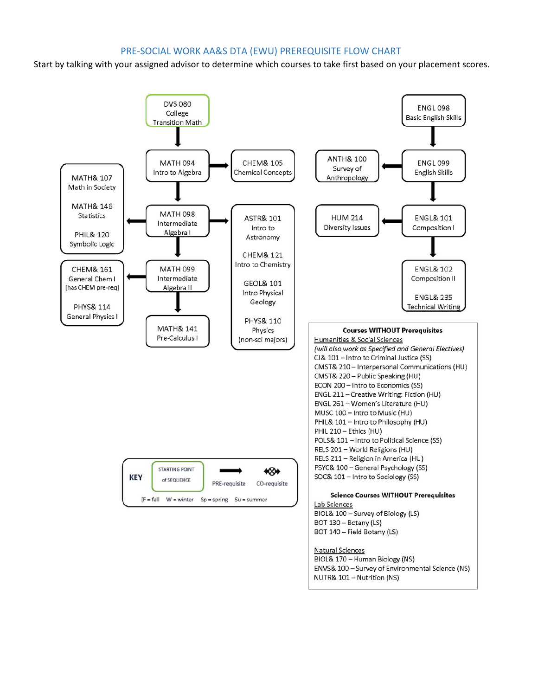## PRE-SOCIAL WORK AA&S DTA (EWU) PREREQUISITE FLOW CHART

Start by talking with your assigned advisor to determine which courses to take first based on your placement scores.

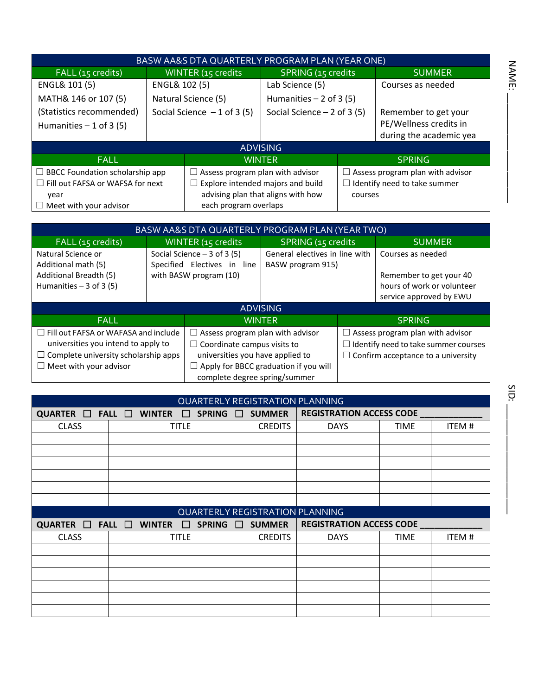| BASW AA&S DTA QUARTERLY PROGRAM PLAN (YEAR ONE) |                              |                                         |                                               |                                  |                         |  |  |
|-------------------------------------------------|------------------------------|-----------------------------------------|-----------------------------------------------|----------------------------------|-------------------------|--|--|
| FALL (15 credits)                               |                              | WINTER (15 credits                      | <b>SPRING (15 credits</b>                     |                                  | <b>SUMMER</b>           |  |  |
| ENGL& 101 (5)                                   | ENGL& 102 (5)                |                                         | Lab Science (5)                               |                                  | Courses as needed       |  |  |
| MATH& 146 or 107 (5)                            | Natural Science (5)          |                                         | Humanities $-2$ of 3 (5)                      |                                  |                         |  |  |
| (Statistics recommended)                        | Social Science $-1$ of 3 (5) |                                         | Social Science $-2$ of 3 (5)                  |                                  | Remember to get your    |  |  |
| Humanities $-1$ of 3 (5)                        |                              |                                         |                                               |                                  | PE/Wellness credits in  |  |  |
|                                                 |                              |                                         |                                               |                                  | during the academic yea |  |  |
| <b>ADVISING</b>                                 |                              |                                         |                                               |                                  |                         |  |  |
| <b>FALL</b>                                     |                              | <b>WINTER</b>                           |                                               | <b>SPRING</b>                    |                         |  |  |
| $\Box$ BBCC Foundation scholarship app          |                              | $\Box$ Assess program plan with advisor |                                               | Assess program plan with advisor |                         |  |  |
| $\Box$ Fill out FAFSA or WAFSA for next         |                              | Explore intended majors and build       |                                               | Identify need to take summer     |                         |  |  |
| year                                            |                              |                                         | advising plan that aligns with how<br>courses |                                  |                         |  |  |
| $\Box$ Meet with your advisor                   |                              | each program overlaps                   |                                               |                                  |                         |  |  |

| BASW AA&S DTA QUARTERLY PROGRAM PLAN (YEAR TWO)                                 |                                                              |                                                             |                                                     |                                  |                                             |  |  |
|---------------------------------------------------------------------------------|--------------------------------------------------------------|-------------------------------------------------------------|-----------------------------------------------------|----------------------------------|---------------------------------------------|--|--|
| FALL (15 credits)                                                               |                                                              | WINTER (15 credits                                          | <b>SPRING (15 credits</b>                           |                                  | <b>SUMMER</b>                               |  |  |
| Natural Science or<br>Additional math (5)                                       |                                                              | Social Science $-3$ of 3 (5)<br>Specified Electives in line | General electives in line with<br>BASW program 915) |                                  | Courses as needed                           |  |  |
| Additional Breadth (5)                                                          | with BASW program (10)                                       |                                                             |                                                     |                                  | Remember to get your 40                     |  |  |
| Humanities $-3$ of 3 (5)                                                        |                                                              |                                                             |                                                     |                                  | hours of work or volunteer                  |  |  |
|                                                                                 |                                                              |                                                             |                                                     |                                  | service approved by EWU                     |  |  |
|                                                                                 |                                                              |                                                             | <b>ADVISING</b>                                     |                                  |                                             |  |  |
| <b>FALL</b>                                                                     | <b>WINTER</b>                                                |                                                             |                                                     | <b>SPRING</b>                    |                                             |  |  |
| $\Box$ Fill out FAFSA or WAFASA and include                                     | Assess program plan with advisor<br>$\overline{\phantom{a}}$ | ш                                                           |                                                     | Assess program plan with advisor |                                             |  |  |
| universities you intend to apply to<br>Coordinate campus visits to<br>$\perp$   |                                                              |                                                             |                                                     |                                  | $\Box$ Identify need to take summer courses |  |  |
| $\Box$ Complete university scholarship apps<br>universities you have applied to |                                                              |                                                             | $\Box$ Confirm acceptance to a university           |                                  |                                             |  |  |
| $\Box$ Meet with your advisor<br>complete degree spring/summer                  |                                                              |                                                             | Apply for BBCC graduation if you will               |                                  |                                             |  |  |

| <b>QUARTERLY REGISTRATION PLANNING</b> |                                                                                  |                  |                |                                 |             |       |  |  |
|----------------------------------------|----------------------------------------------------------------------------------|------------------|----------------|---------------------------------|-------------|-------|--|--|
|                                        | QUARTER $\Box$ FALL $\Box$ WINTER<br>SPRING $\square$<br><b>SUMMER</b><br>$\Box$ |                  |                | <b>REGISTRATION ACCESS CODE</b> |             |       |  |  |
| <b>CLASS</b>                           | <b>TITLE</b>                                                                     |                  | <b>CREDITS</b> | <b>DAYS</b>                     | TIME        | ITEM# |  |  |
|                                        |                                                                                  |                  |                |                                 |             |       |  |  |
|                                        |                                                                                  |                  |                |                                 |             |       |  |  |
|                                        |                                                                                  |                  |                |                                 |             |       |  |  |
|                                        |                                                                                  |                  |                |                                 |             |       |  |  |
|                                        |                                                                                  |                  |                |                                 |             |       |  |  |
|                                        |                                                                                  |                  |                |                                 |             |       |  |  |
| QUARTERLY REGISTRATION PLANNING        |                                                                                  |                  |                |                                 |             |       |  |  |
|                                        |                                                                                  |                  |                |                                 |             |       |  |  |
|                                        | QUARTER $\Box$ FALL $\Box$ WINTER $\Box$                                         | SPRING $\square$ | <b>SUMMER</b>  | <b>REGISTRATION ACCESS CODE</b> |             |       |  |  |
| <b>CLASS</b>                           | <b>TITLE</b>                                                                     |                  | <b>CREDITS</b> | <b>DAYS</b>                     | <b>TIME</b> | ITEM# |  |  |
|                                        |                                                                                  |                  |                |                                 |             |       |  |  |
|                                        |                                                                                  |                  |                |                                 |             |       |  |  |
|                                        |                                                                                  |                  |                |                                 |             |       |  |  |
|                                        |                                                                                  |                  |                |                                 |             |       |  |  |
|                                        |                                                                                  |                  |                |                                 |             |       |  |  |

NAME: \_\_\_\_\_\_\_\_\_\_\_\_\_\_\_\_\_\_\_\_\_

**NAME:**